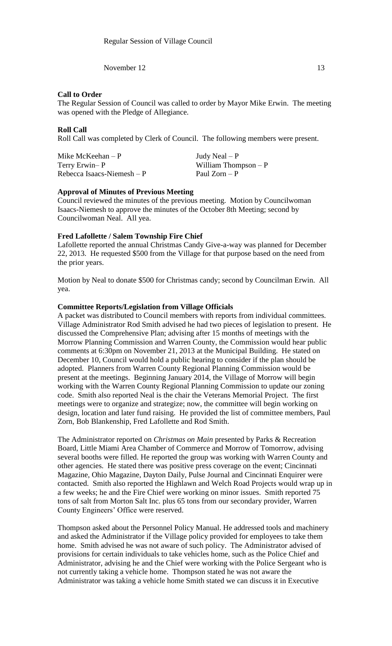November 12 13

## **Call to Order**

The Regular Session of Council was called to order by Mayor Mike Erwin. The meeting was opened with the Pledge of Allegiance.

# **Roll Call**

Roll Call was completed by Clerk of Council. The following members were present.

Mike McKeehan – P  $Judy$  Neal – P Terry Erwin– P William Thompson – P  $Rebecca Isaacs-Niemesh - P$  Paul Zorn – P

# **Approval of Minutes of Previous Meeting**

Council reviewed the minutes of the previous meeting. Motion by Councilwoman Isaacs-Niemesh to approve the minutes of the October 8th Meeting; second by Councilwoman Neal. All yea.

# **Fred Lafollette / Salem Township Fire Chief**

Lafollette reported the annual Christmas Candy Give-a-way was planned for December 22, 2013. He requested \$500 from the Village for that purpose based on the need from the prior years.

Motion by Neal to donate \$500 for Christmas candy; second by Councilman Erwin. All yea.

## **Committee Reports/Legislation from Village Officials**

A packet was distributed to Council members with reports from individual committees. Village Administrator Rod Smith advised he had two pieces of legislation to present. He discussed the Comprehensive Plan; advising after 15 months of meetings with the Morrow Planning Commission and Warren County, the Commission would hear public comments at 6:30pm on November 21, 2013 at the Municipal Building. He stated on December 10, Council would hold a public hearing to consider if the plan should be adopted. Planners from Warren County Regional Planning Commission would be present at the meetings. Beginning January 2014, the Village of Morrow will begin working with the Warren County Regional Planning Commission to update our zoning code. Smith also reported Neal is the chair the Veterans Memorial Project. The first meetings were to organize and strategize; now, the committee will begin working on design, location and later fund raising. He provided the list of committee members, Paul Zorn, Bob Blankenship, Fred Lafollette and Rod Smith.

The Administrator reported on *Christmas on Main* presented by Parks & Recreation Board, Little Miami Area Chamber of Commerce and Morrow of Tomorrow, advising several booths were filled. He reported the group was working with Warren County and other agencies. He stated there was positive press coverage on the event; Cincinnati Magazine, Ohio Magazine, Dayton Daily, Pulse Journal and Cincinnati Enquirer were contacted. Smith also reported the Highlawn and Welch Road Projects would wrap up in a few weeks; he and the Fire Chief were working on minor issues. Smith reported 75 tons of salt from Morton Salt Inc. plus 65 tons from our secondary provider, Warren County Engineers' Office were reserved.

Thompson asked about the Personnel Policy Manual. He addressed tools and machinery and asked the Administrator if the Village policy provided for employees to take them home. Smith advised he was not aware of such policy. The Administrator advised of provisions for certain individuals to take vehicles home, such as the Police Chief and Administrator, advising he and the Chief were working with the Police Sergeant who is not currently taking a vehicle home. Thompson stated he was not aware the Administrator was taking a vehicle home Smith stated we can discuss it in Executive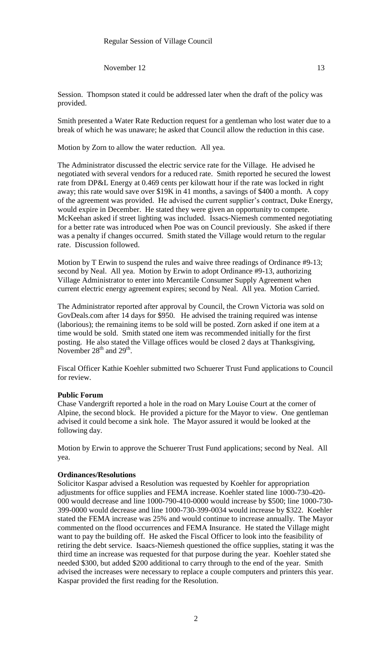November 12 13

Smith presented a Water Rate Reduction request for a gentleman who lost water due to a break of which he was unaware; he asked that Council allow the reduction in this case.

Motion by Zorn to allow the water reduction. All yea.

The Administrator discussed the electric service rate for the Village. He advised he negotiated with several vendors for a reduced rate. Smith reported he secured the lowest rate from DP&L Energy at 0.469 cents per kilowatt hour if the rate was locked in right away; this rate would save over \$19K in 41 months, a savings of \$400 a month. A copy of the agreement was provided. He advised the current supplier's contract, Duke Energy, would expire in December. He stated they were given an opportunity to compete. McKeehan asked if street lighting was included. Issacs-Niemesh commented negotiating for a better rate was introduced when Poe was on Council previously. She asked if there was a penalty if changes occurred. Smith stated the Village would return to the regular rate. Discussion followed.

Motion by T Erwin to suspend the rules and waive three readings of Ordinance #9-13; second by Neal. All yea. Motion by Erwin to adopt Ordinance #9-13, authorizing Village Administrator to enter into Mercantile Consumer Supply Agreement when current electric energy agreement expires; second by Neal. All yea. Motion Carried.

The Administrator reported after approval by Council, the Crown Victoria was sold on GovDeals.com after 14 days for \$950. He advised the training required was intense (laborious); the remaining items to be sold will be posted. Zorn asked if one item at a time would be sold. Smith stated one item was recommended initially for the first posting. He also stated the Village offices would be closed 2 days at Thanksgiving, November  $28<sup>th</sup>$  and  $29<sup>th</sup>$ .

Fiscal Officer Kathie Koehler submitted two Schuerer Trust Fund applications to Council for review.

#### **Public Forum**

Chase Vandergrift reported a hole in the road on Mary Louise Court at the corner of Alpine, the second block. He provided a picture for the Mayor to view. One gentleman advised it could become a sink hole. The Mayor assured it would be looked at the following day.

Motion by Erwin to approve the Schuerer Trust Fund applications; second by Neal. All yea.

#### **Ordinances/Resolutions**

Solicitor Kaspar advised a Resolution was requested by Koehler for appropriation adjustments for office supplies and FEMA increase. Koehler stated line 1000-730-420- 000 would decrease and line 1000-790-410-0000 would increase by \$500; line 1000-730- 399-0000 would decrease and line 1000-730-399-0034 would increase by \$322. Koehler stated the FEMA increase was 25% and would continue to increase annually. The Mayor commented on the flood occurrences and FEMA Insurance. He stated the Village might want to pay the building off. He asked the Fiscal Officer to look into the feasibility of retiring the debt service. Isaacs-Niemesh questioned the office supplies, stating it was the third time an increase was requested for that purpose during the year. Koehler stated she needed \$300, but added \$200 additional to carry through to the end of the year. Smith advised the increases were necessary to replace a couple computers and printers this year. Kaspar provided the first reading for the Resolution.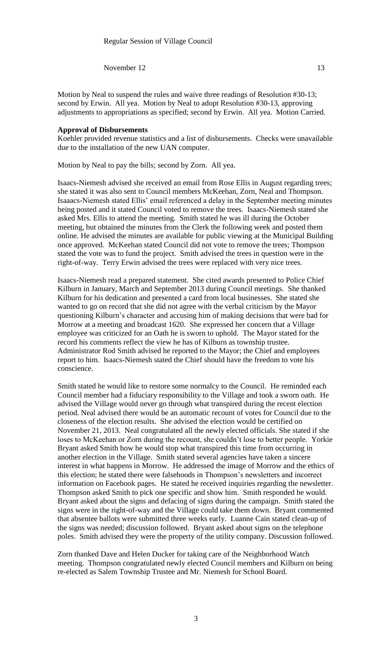November  $12 \t\t 13$ 

Motion by Neal to suspend the rules and waive three readings of Resolution #30-13; second by Erwin. All yea. Motion by Neal to adopt Resolution #30-13, approving adjustments to appropriations as specified; second by Erwin. All yea. Motion Carried.

#### **Approval of Disbursements**

Koehler provided revenue statistics and a list of disbursements. Checks were unavailable due to the installation of the new UAN computer.

Motion by Neal to pay the bills; second by Zorn. All yea.

Isaacs-Niemesh advised she received an email from Rose Ellis in August regarding trees; she stated it was also sent to Council members McKeehan, Zorn, Neal and Thompson. Isaaacs-Niemesh stated Ellis' email referenced a delay in the September meeting minutes being posted and it stated Council voted to remove the trees. Isaacs-Niemesh stated she asked Mrs. Ellis to attend the meeting. Smith stated he was ill during the October meeting, but obtained the minutes from the Clerk the following week and posted them online. He advised the minutes are available for public viewing at the Municipal Building once approved. McKeehan stated Council did not vote to remove the trees; Thompson stated the vote was to fund the project. Smith advised the trees in question were in the right-of-way. Terry Erwin advised the trees were replaced with very nice trees.

Isaacs-Niemesh read a prepared statement. She cited awards presented to Police Chief Kilburn in January, March and September 2013 during Council meetings. She thanked Kilburn for his dedication and presented a card from local businesses. She stated she wanted to go on record that she did not agree with the verbal criticism by the Mayor questioning Kilburn's character and accusing him of making decisions that were bad for Morrow at a meeting and broadcast 1620. She expressed her concern that a Village employee was criticized for an Oath he is sworn to uphold. The Mayor stated for the record his comments reflect the view he has of Kilburn as township trustee. Administrator Rod Smith advised he reported to the Mayor; the Chief and employees report to him. Isaacs-Niemesh stated the Chief should have the freedom to vote his conscience.

Smith stated he would like to restore some normalcy to the Council. He reminded each Council member had a fiduciary responsibility to the Village and took a sworn oath. He advised the Village would never go through what transpired during the recent election period. Neal advised there would be an automatic recount of votes for Council due to the closeness of the election results. She advised the election would be certified on November 21, 2013. Neal congratulated all the newly elected officials. She stated if she loses to McKeehan or Zorn during the recount, she couldn't lose to better people. Yorkie Bryant asked Smith how he would stop what transpired this time from occurring in another election in the Village. Smith stated several agencies have taken a sincere interest in what happens in Morrow. He addressed the image of Morrow and the ethics of this election; he stated there were falsehoods in Thompson's newsletters and incorrect information on Facebook pages. He stated he received inquiries regarding the newsletter. Thompson asked Smith to pick one specific and show him. Smith responded he would. Bryant asked about the signs and defacing of signs during the campaign. Smith stated the signs were in the right-of-way and the Village could take them down. Bryant commented that absentee ballots were submitted three weeks early. Luanne Cain stated clean-up of the signs was needed; discussion followed. Bryant asked about signs on the telephone poles. Smith advised they were the property of the utility company. Discussion followed.

Zorn thanked Dave and Helen Ducker for taking care of the Neighborhood Watch meeting. Thompson congratulated newly elected Council members and Kilburn on being re-elected as Salem Township Trustee and Mr. Niemesh for School Board.